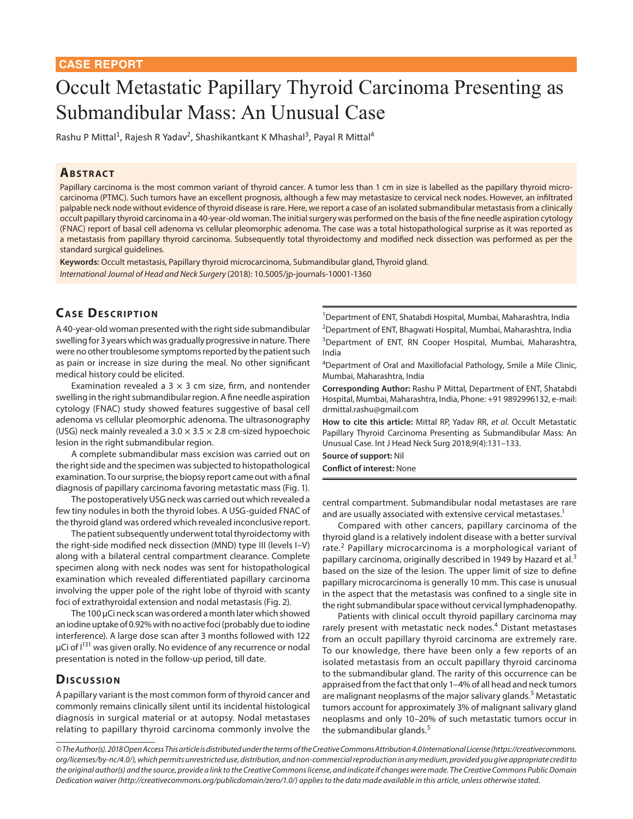# Occult Metastatic Papillary Thyroid Carcinoma Presenting as Submandibular Mass: An Unusual Case

Rashu P Mittal<sup>1</sup>, Rajesh R Yadav<sup>2</sup>, Shashikantkant K Mhashal<sup>3</sup>, Payal R Mittal<sup>4</sup>

#### **ABSTRACT**

Papillary carcinoma is the most common variant of thyroid cancer. A tumor less than 1 cm in size is labelled as the papillary thyroid microcarcinoma (PTMC). Such tumors have an excellent prognosis, although a few may metastasize to cervical neck nodes. However, an infiltrated palpable neck node without evidence of thyroid disease is rare. Here, we report a case of an isolated submandibular metastasis from a clinically occult papillary thyroid carcinoma in a 40-year-old woman. The initial surgery was performed on the basis of the fine needle aspiration cytology (FNAC) report of basal cell adenoma vs cellular pleomorphic adenoma. The case was a total histopathological surprise as it was reported as a metastasis from papillary thyroid carcinoma. Subsequently total thyroidectomy and modified neck dissection was performed as per the standard surgical guidelines.

**Keywords:** Occult metastasis, Papillary thyroid microcarcinoma, Submandibular gland, Thyroid gland. *International Journal of Head and Neck Surgery* (2018): 10.5005/jp-journals-10001-1360

## **CASE DESCRIPTION**

A 40-year-old woman presented with the right side submandibular swelling for 3 years which was gradually progressive in nature. There were no other troublesome symptoms reported by the patient such as pain or increase in size during the meal. No other significant medical history could be elicited.

Examination revealed a 3  $\times$  3 cm size, firm, and nontender swelling in the right submandibular region. A fine needle aspiration cytology (FNAC) study showed features suggestive of basal cell adenoma vs cellular pleomorphic adenoma. The ultrasonography (USG) neck mainly revealed a  $3.0 \times 3.5 \times 2.8$  cm-sized hypoechoic lesion in the right submandibular region.

A complete submandibular mass excision was carried out on the right side and the specimen was subjected to histopathological examination. To our surprise, the biopsy report came out with a final diagnosis of papillary carcinoma favoring metastatic mass (Fig. 1).

The postoperatively USG neck was carried out which revealed a few tiny nodules in both the thyroid lobes. A USG-guided FNAC of the thyroid gland was ordered which revealed inconclusive report.

The patient subsequently underwent total thyroidectomy with the right-side modified neck dissection (MND) type III (levels I–V) along with a bilateral central compartment clearance. Complete specimen along with neck nodes was sent for histopathological examination which revealed differentiated papillary carcinoma involving the upper pole of the right lobe of thyroid with scanty foci of extrathyroidal extension and nodal metastasis (Fig. 2).

The 100 μCi neck scan was ordered a month later which showed an iodine uptake of 0.92% with no active foci (probably due to iodine interference). A large dose scan after 3 months followed with 122 μCi of  $I^{131}$  was given orally. No evidence of any recurrence or nodal presentation is noted in the follow-up period, till date.

#### **Discussion**

A papillary variant is the most common form of thyroid cancer and commonly remains clinically silent until its incidental histological diagnosis in surgical material or at autopsy. Nodal metastases relating to papillary thyroid carcinoma commonly involve the

<sup>1</sup>Department of ENT, Shatabdi Hospital, Mumbai, Maharashtra, India <sup>2</sup>Department of ENT, Bhagwati Hospital, Mumbai, Maharashtra, India <sup>3</sup>Department of ENT, RN Cooper Hospital, Mumbai, Maharashtra, India

<sup>4</sup>Department of Oral and Maxillofacial Pathology, Smile a Mile Clinic, Mumbai, Maharashtra, India

**Corresponding Author:** Rashu P Mittal, Department of ENT, Shatabdi Hospital, Mumbai, Maharashtra, India, Phone: +91 9892996132, e-mail: drmittal.rashu@gmail.com

**How to cite this article:** Mittal RP, Yadav RR, *et al.* Occult Metastatic Papillary Thyroid Carcinoma Presenting as Submandibular Mass: An Unusual Case. Int J Head Neck Surg 2018;9(4):131–133.

**Source of support:** Nil **Conflict of interest:** None

central compartment. Submandibular nodal metastases are rare and are usually associated with extensive cervical metastases.<sup>1</sup>

Compared with other cancers, papillary carcinoma of the thyroid gland is a relatively indolent disease with a better survival rate.<sup>2</sup> Papillary microcarcinoma is a morphological variant of papillary carcinoma, originally described in 1949 by Hazard et al.<sup>3</sup> based on the size of the lesion. The upper limit of size to define papillary microcarcinoma is generally 10 mm. This case is unusual in the aspect that the metastasis was confined to a single site in the right submandibular space without cervical lymphadenopathy.

Patients with clinical occult thyroid papillary carcinoma may rarely present with metastatic neck nodes.<sup>4</sup> Distant metastases from an occult papillary thyroid carcinoma are extremely rare. To our knowledge, there have been only a few reports of an isolated metastasis from an occult papillary thyroid carcinoma to the submandibular gland. The rarity of this occurrence can be appraised from the fact that only 1–4% of all head and neck tumors are malignant neoplasms of the major salivary glands.<sup>5</sup> Metastatic tumors account for approximately 3% of malignant salivary gland neoplasms and only 10–20% of such metastatic tumors occur in the submandibular glands.<sup>5</sup>

*<sup>©</sup> The Author(s). 2018 Open Access This article is distributed under the terms of the Creative Commons Attribution 4.0 International License (https://creativecommons. org/licenses/by-nc/4.0/), which permits unrestricted use, distribution, and non-commercial reproduction in any medium, provided you give appropriate credit to the original author(s) and the source, provide a link to the Creative Commons license, and indicate if changes were made. The Creative Commons Public Domain Dedication waiver (http://creativecommons.org/publicdomain/zero/1.0/) applies to the data made available in this article, unless otherwise stated.*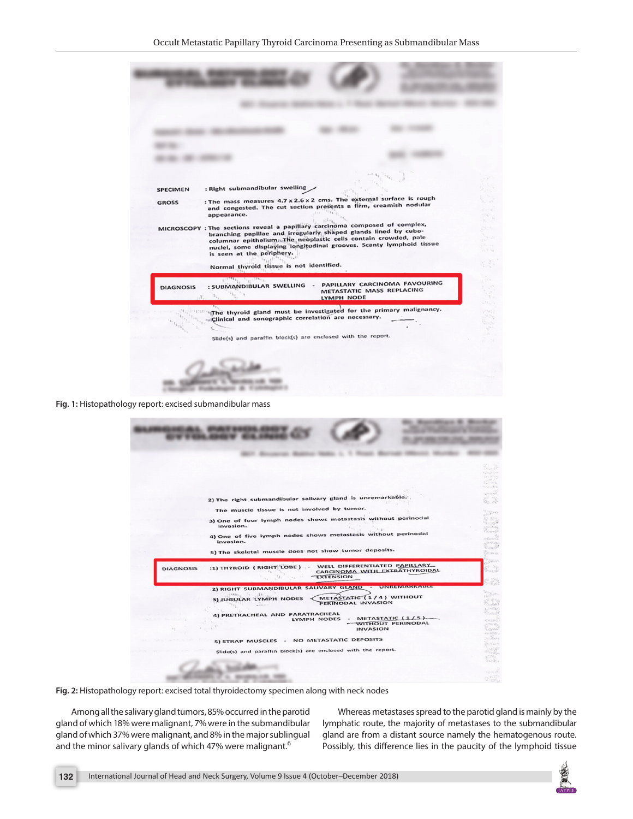| : Right submandibular swelling<br><b>SPECIMEN</b><br><b>GROSS</b><br>appearance.<br>MICROSCOPY : The sections reveal a papillary carcinoma composed of complex,<br>is seen at the periphery. | : The mass measures 4.7 x 2.6 x 2 cms. The external surface is rough<br>and congested. The cut section presents a firm, creamish nodular<br>branching papillae and irregularly shaped glands lined by cubo-<br>columnar epithelium aThe neoplastic cells contain crowded, pale<br>nuclel, some displaying longitudinal grooves. Scanty lymphoid tissue<br>$\mathcal{L}_{\rm c}\rightarrow$<br>33 N |
|----------------------------------------------------------------------------------------------------------------------------------------------------------------------------------------------|----------------------------------------------------------------------------------------------------------------------------------------------------------------------------------------------------------------------------------------------------------------------------------------------------------------------------------------------------------------------------------------------------|
| Normal thyroid tissue is not identified.                                                                                                                                                     |                                                                                                                                                                                                                                                                                                                                                                                                    |
| $U_{2,1,1}U^T \rightarrow U_{2,1,1,1}U$<br>: SUBMANDIBULAR SWELLING -<br><b>DIAGNOSIS</b>                                                                                                    | PAPILLARY CARCINOMA FAVOURING<br>METASTATIC MASS REPLACING<br>LYMPH NODE                                                                                                                                                                                                                                                                                                                           |
| Clinical and sonographic correlation are necessary.<br>Slide(s) and paraffin block(s) are enclosed with the report.                                                                          | The thyroid gland must be investigated for the primary malignancy.<br>15897<br>52                                                                                                                                                                                                                                                                                                                  |
|                                                                                                                                                                                              |                                                                                                                                                                                                                                                                                                                                                                                                    |

**Fig. 1:** Histopathology report: excised submandibular mass

|                  | 2) The right submandibular salivary gland is unremarkable.<br>The muscle tissue is not involved by tumor.<br>3) One of four lymph nodes shows metastasis without perinodal<br>invasion.<br>4) One of five lymph nodes shows metastasis without perinodal<br>invasion.<br>5) The skeletal muscle does not show tumor deposits. |                                                                    | 1555.07<br><b>Nice Service</b><br>전쟁이<br>22.5 cm<br>Havas desa<br>actions.<br>\$.3<br><b>Service</b><br>25 80%<br>"Shmall"<br>votining.<br>Council<br>etthetheth<br>SPORTAL<br>Donald !<br><b>Seara</b> |
|------------------|-------------------------------------------------------------------------------------------------------------------------------------------------------------------------------------------------------------------------------------------------------------------------------------------------------------------------------|--------------------------------------------------------------------|---------------------------------------------------------------------------------------------------------------------------------------------------------------------------------------------------------|
| <b>DIAGNOSIS</b> | :1) THYROID (RIGHT LOBE) - WELL DIFFERENTIATED PAPILLARY<br>Total.                                                                                                                                                                                                                                                            | CARCINOMA WITH EXTRATHYROIDAL<br><b>EXTENSION</b>                  | <b>Collans</b>                                                                                                                                                                                          |
|                  | 2) RIGHT SUBMANDIBULAR SALIVARY GLAND - UNREMARKABLE<br>.12.<br>7868.<br>$\mathcal{P}_{\mathcal{R}}$ .<br>3) JUGULAR LYMPH NODES<br>4) PRETRACHEAL AND PARATRACHEAL<br>LYMPH NODES                                                                                                                                            | METASTATIC (1/4) WITHOUT<br>PERINODAL INVASION<br>METASTATIC (1/5) | <b>Contact</b><br>of Miles<br>Thursd'                                                                                                                                                                   |
|                  |                                                                                                                                                                                                                                                                                                                               | - WITHOUT PERINODAL<br><b>INVASION</b>                             | alicanzo.                                                                                                                                                                                               |
|                  | 5) STRAP MUSCLES - NO METASTATIC DEPOSITS<br>Slide(s) and paraffin block(s) are enclosed with the report.                                                                                                                                                                                                                     |                                                                    |                                                                                                                                                                                                         |
|                  |                                                                                                                                                                                                                                                                                                                               |                                                                    |                                                                                                                                                                                                         |

**Fig. 2:** Histopathology report: excised total thyroidectomy specimen along with neck nodes

Among all the salivary gland tumors, 85% occurred in the parotid gland of which 18% were malignant, 7% were in the submandibular gland of which 37% were malignant, and 8% in the major sublingual and the minor salivary glands of which 47% were malignant.<sup>6</sup>

Whereas metastases spread to the parotid gland is mainly by the lymphatic route, the majority of metastases to the submandibular gland are from a distant source namely the hematogenous route. Possibly, this difference lies in the paucity of the lymphoid tissue